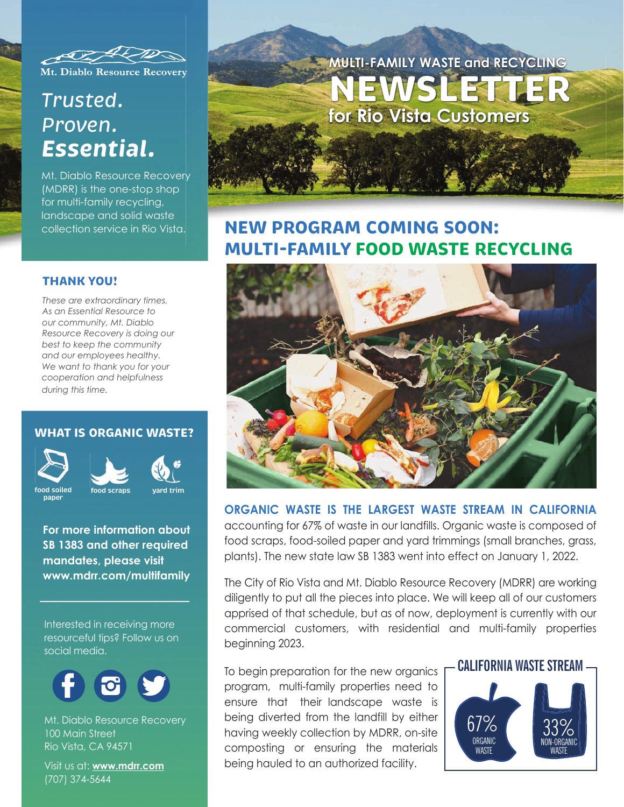

Mt. Diablo Resource Recovery

# *Trusted. Proven. Essential.*

Mt. Diablo Resource Recovery (MDRR) is the one-stop shop for multi-family recycling, landscape and solid waste collection service in Rio Vista.

#### **THANK YOU!**

*These are extraordinary times. As an Essential Resource to our community, Mt. Diablo Resource Recovery is doing our best to keep the community and our employees healthy. We want to thank you for your cooperation and helpfulness during this time.*

### **WHAT IS ORGANIC WASTE?**



**paper**





**For more information about SB 1383 and other required mandates, please visit www.mdrr.com/multifamily**

Interested in receiving more resourceful tips? Follow us on social media.



Mt. Diablo Resource Recovery 100 Main Street Rio Vista, CA 94571

Visit us at: **www.mdrr.com** (707) 374-5644

# **MULTI-FAMILY WASTE and RECYCLING NEWSLETTER for Rio Vista Customers**

# **NEW PROGRAM COMING SOON: MULTI-FAMILY FOOD WASTE RECYCLING**



### **ORGANIC WASTE IS THE LARGEST WASTE STREAM IN CALIFORNIA**

accounting for 67% of waste in our landfills. Organic waste is composed of food scraps, food-soiled paper and yard trimmings (small branches, grass, plants). The new state law SB 1383 went into effect on January 1, 2022.

The City of Rio Vista and Mt. Diablo Resource Recovery (MDRR) are working diligently to put all the pieces into place. We will keep all of our customers apprised of that schedule, but as of now, deployment is currently with our commercial customers, with residential and multi-family properties beginning 2023.

To begin preparation for the new organics **F CALIFORNIA WASTE STREAM** program, multi-family properties need to ensure that their landscape waste is being diverted from the landfill by either having weekly collection by MDRR, on-site composting or ensuring the materials being hauled to an authorized facility.